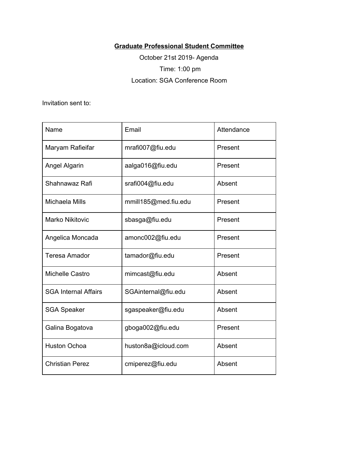## **Graduate Professional Student Committee**

October 21st 2019- Agenda Time: 1:00 pm Location: SGA Conference Room

Invitation sent to:

| Name                        | Email                | Attendance |
|-----------------------------|----------------------|------------|
| Maryam Rafieifar            | mrafi007@fiu.edu     | Present    |
| <b>Angel Algarin</b>        | aalga016@fiu.edu     | Present    |
| Shahnawaz Rafi              | srafi004@fiu.edu     | Absent     |
| Michaela Mills              | mmill185@med.fiu.edu | Present    |
| <b>Marko Nikitovic</b>      | sbasga@fiu.edu       | Present    |
| Angelica Moncada            | amonc002@fiu.edu     | Present    |
| <b>Teresa Amador</b>        | tamador@fiu.edu      | Present    |
| Michelle Castro             | mimcast@fiu.edu      | Absent     |
| <b>SGA Internal Affairs</b> | SGAinternal@fiu.edu  | Absent     |
| <b>SGA Speaker</b>          | sgaspeaker@fiu.edu   | Absent     |
| Galina Bogatova             | gboga002@fiu.edu     | Present    |
| <b>Huston Ochoa</b>         | huston8a@icloud.com  | Absent     |
| <b>Christian Perez</b>      | cmiperez@fiu.edu     | Absent     |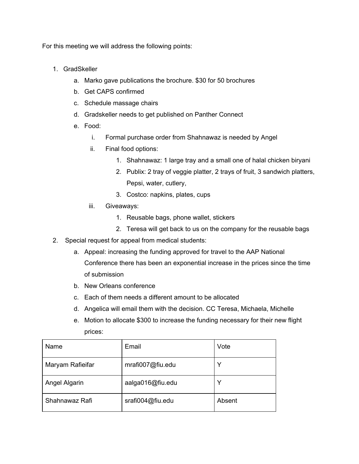For this meeting we will address the following points:

- 1. GradSkeller
	- a. Marko gave publications the brochure. \$30 for 50 brochures
	- b. Get CAPS confirmed
	- c. Schedule massage chairs
	- d. Gradskeller needs to get published on Panther Connect
	- e. Food:
		- i. Formal purchase order from Shahnawaz is needed by Angel
		- ii. Final food options:
			- 1. Shahnawaz: 1 large tray and a small one of halal chicken biryani
			- 2. Publix: 2 tray of veggie platter, 2 trays of fruit, 3 sandwich platters, Pepsi, water, cutlery,
			- 3. Costco: napkins, plates, cups
		- iii. Giveaways:
			- 1. Reusable bags, phone wallet, stickers
			- 2. Teresa will get back to us on the company for the reusable bags
- 2. Special request for appeal from medical students:
	- a. Appeal: increasing the funding approved for travel to the AAP National Conference there has been an exponential increase in the prices since the time of submission
	- b. New Orleans conference
	- c. Each of them needs a different amount to be allocated
	- d. Angelica will email them with the decision. CC Teresa, Michaela, Michelle
	- e. Motion to allocate \$300 to increase the funding necessary for their new flight prices:

| Name             | Email            | Vote   |
|------------------|------------------|--------|
| Maryam Rafieifar | mrafi007@fiu.edu | v      |
| Angel Algarin    | aalga016@fiu.edu | v      |
| Shahnawaz Rafi   | srafi004@fiu.edu | Absent |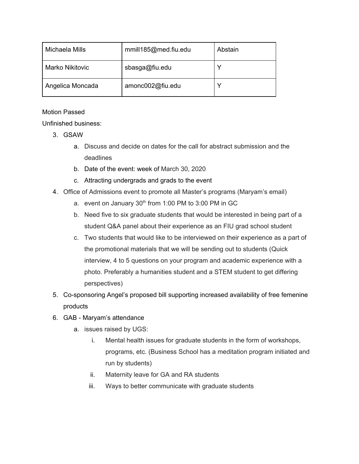| Michaela Mills         | mmill185@med.fiu.edu | Abstain |
|------------------------|----------------------|---------|
| <b>Marko Nikitovic</b> | sbasga@fiu.edu       |         |
| Angelica Moncada       | amonc002@fiu.edu     |         |

## Motion Passed

Unfinished business:

- 3. GSAW
	- a. Discuss and decide on dates for the call for abstract submission and the deadlines
	- b. Date of the event: week of March 30, 2020
	- c. Attracting undergrads and grads to the event
- 4. Office of Admissions event to promote all Master's programs (Maryam's email)
	- a. event on January  $30<sup>th</sup>$  from 1:00 PM to 3:00 PM in GC
	- b. Need five to six graduate students that would be interested in being part of a student Q&A panel about their experience as an FIU grad school student
	- c. Two students that would like to be interviewed on their experience as a part of the promotional materials that we will be sending out to students (Quick interview, 4 to 5 questions on your program and academic experience with a photo. Preferably a humanities student and a STEM student to get differing perspectives)
- 5. Co-sponsoring Angel's proposed bill supporting increased availability of free femenine products
- 6. GAB Maryam's attendance
	- a. issues raised by UGS:
		- i. Mental health issues for graduate students in the form of workshops, programs, etc. (Business School has a meditation program initiated and run by students)
		- ii. Maternity leave for GA and RA students
		- iii. Ways to better communicate with graduate students